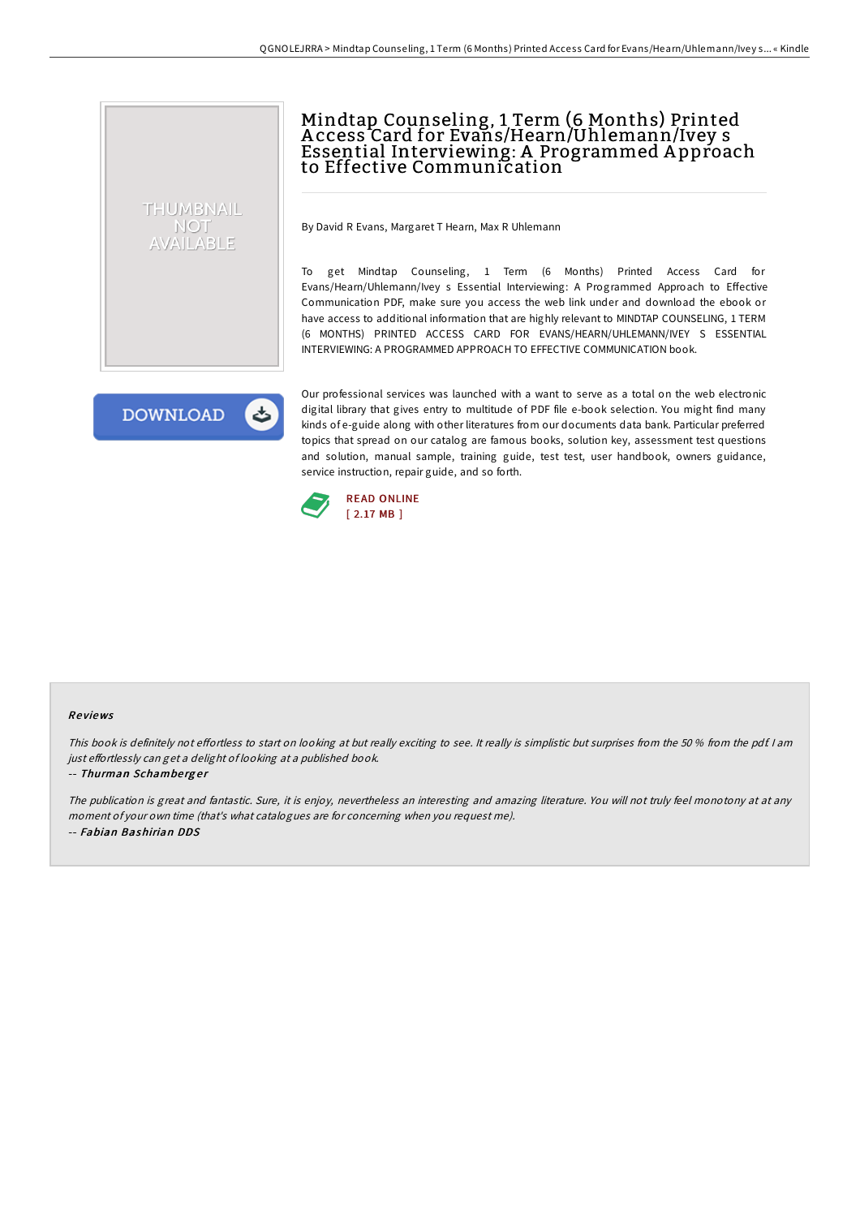# Mindtap Counseling, 1 Term (6 Months) Printed A ccess Card for Evans/Hearn/Uhlemann/Ivey s Essential Interviewing: A Programmed A pproach to Effective Communication

By David R Evans, Margaret T Hearn, Max R Uhlemann

To get Mindtap Counseling, 1 Term (6 Months) Printed Access Card for Evans/Hearn/Uhlemann/Ivey s Essential Interviewing: A Programmed Approach to Effective Communication PDF, make sure you access the web link under and download the ebook or have access to additional information that are highly relevant to MINDTAP COUNSELING, 1 TERM (6 MONTHS) PRINTED ACCESS CARD FOR EVANS/HEARN/UHLEMANN/IVEY S ESSENTIAL INTERVIEWING: A PROGRAMMED APPROACH TO EFFECTIVE COMMUNICATION book.

**DOWNLOAD** 

THUMBNAIL NOT AVAILABLE

> Our professional services was launched with a want to serve as a total on the web electronic digital library that gives entry to multitude of PDF file e-book selection. You might find many kinds of e-guide along with other literatures from our documents data bank. Particular preferred topics that spread on our catalog are famous books, solution key, assessment test questions and solution, manual sample, training guide, test test, user handbook, owners guidance, service instruction, repair guide, and so forth.



### Re views

This book is definitely not effortless to start on looking at but really exciting to see. It really is simplistic but surprises from the 50 % from the pdf. I am just effortlessly can get a delight of looking at a published book.

#### -- Thurman Schamberger

The publication is great and fantastic. Sure, it is enjoy, nevertheless an interesting and amazing literature. You will not truly feel monotony at at any moment of your own time (that's what catalogues are for concerning when you request me). -- Fabian Bashirian DDS